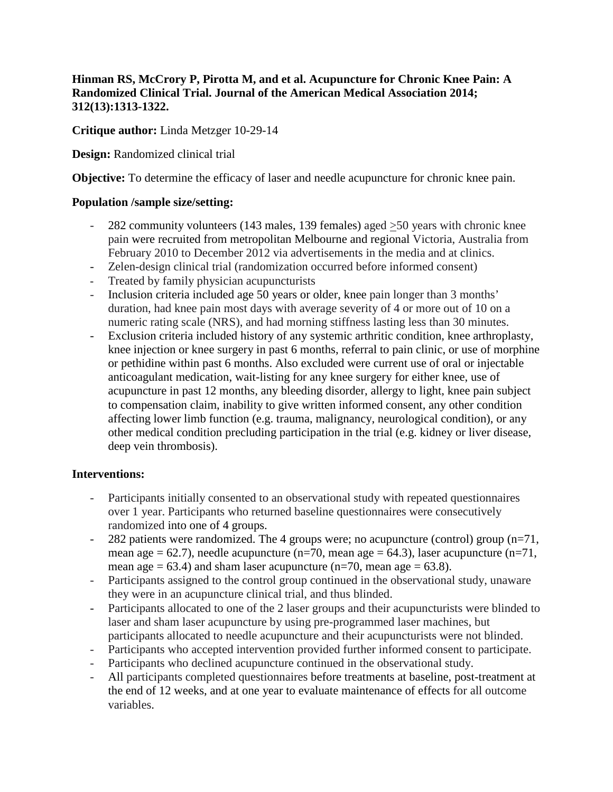# **Hinman RS, McCrory P, Pirotta M, and et al. Acupuncture for Chronic Knee Pain: A Randomized Clinical Trial. Journal of the American Medical Association 2014; 312(13):1313-1322.**

# **Critique author:** Linda Metzger 10-29-14

**Design:** Randomized clinical trial

**Objective:** To determine the efficacy of laser and needle acupuncture for chronic knee pain.

### **Population /sample size/setting:**

- 282 community volunteers (143 males, 139 females) aged  $\geq$ 50 years with chronic knee pain were recruited from metropolitan Melbourne and regional Victoria, Australia from February 2010 to December 2012 via advertisements in the media and at clinics.
- Zelen-design clinical trial (randomization occurred before informed consent)
- Treated by family physician acupuncturists
- Inclusion criteria included age 50 years or older, knee pain longer than 3 months' duration, had knee pain most days with average severity of 4 or more out of 10 on a numeric rating scale (NRS), and had morning stiffness lasting less than 30 minutes.
- Exclusion criteria included history of any systemic arthritic condition, knee arthroplasty, knee injection or knee surgery in past 6 months, referral to pain clinic, or use of morphine or pethidine within past 6 months. Also excluded were current use of oral or injectable anticoagulant medication, wait-listing for any knee surgery for either knee, use of acupuncture in past 12 months, any bleeding disorder, allergy to light, knee pain subject to compensation claim, inability to give written informed consent, any other condition affecting lower limb function (e.g. trauma, malignancy, neurological condition), or any other medical condition precluding participation in the trial (e.g. kidney or liver disease, deep vein thrombosis).

# **Interventions:**

- Participants initially consented to an observational study with repeated questionnaires over 1 year. Participants who returned baseline questionnaires were consecutively randomized into one of 4 groups.
- 282 patients were randomized. The 4 groups were; no acupuncture (control) group (n=71, mean age =  $62.7$ ), needle acupuncture (n=70, mean age =  $64.3$ ), laser acupuncture (n=71, mean age =  $63.4$ ) and sham laser acupuncture (n=70, mean age =  $63.8$ ).
- Participants assigned to the control group continued in the observational study, unaware they were in an acupuncture clinical trial, and thus blinded.
- Participants allocated to one of the 2 laser groups and their acupuncturists were blinded to laser and sham laser acupuncture by using pre-programmed laser machines, but participants allocated to needle acupuncture and their acupuncturists were not blinded.
- Participants who accepted intervention provided further informed consent to participate.
- Participants who declined acupuncture continued in the observational study.
- All participants completed questionnaires before treatments at baseline, post-treatment at the end of 12 weeks, and at one year to evaluate maintenance of effects for all outcome variables.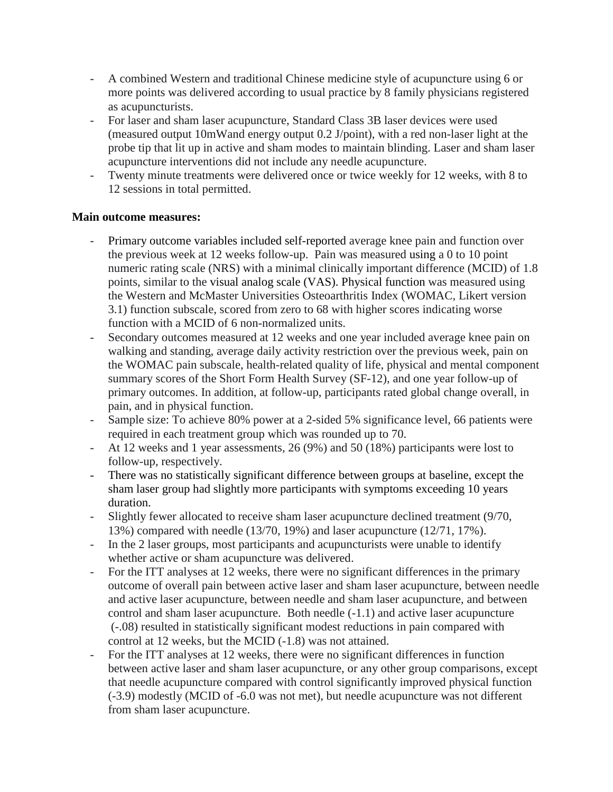- A combined Western and traditional Chinese medicine style of acupuncture using 6 or more points was delivered according to usual practice by 8 family physicians registered as acupuncturists.
- For laser and sham laser acupuncture, Standard Class 3B laser devices were used (measured output 10mWand energy output 0.2 J/point), with a red non-laser light at the probe tip that lit up in active and sham modes to maintain blinding. Laser and sham laser acupuncture interventions did not include any needle acupuncture.
- Twenty minute treatments were delivered once or twice weekly for 12 weeks, with 8 to 12 sessions in total permitted.

### **Main outcome measures:**

- Primary outcome variables included self-reported average knee pain and function over the previous week at 12 weeks follow-up. Pain was measured using a 0 to 10 point numeric rating scale (NRS) with a minimal clinically important difference (MCID) of 1.8 points, similar to the visual analog scale (VAS). Physical function was measured using the Western and McMaster Universities Osteoarthritis Index (WOMAC, Likert version 3.1) function subscale, scored from zero to 68 with higher scores indicating worse function with a MCID of 6 non-normalized units.
- Secondary outcomes measured at 12 weeks and one year included average knee pain on walking and standing, average daily activity restriction over the previous week, pain on the WOMAC pain subscale, health-related quality of life, physical and mental component summary scores of the Short Form Health Survey (SF-12), and one year follow-up of primary outcomes. In addition, at follow-up, participants rated global change overall, in pain, and in physical function.
- Sample size: To achieve 80% power at a 2-sided 5% significance level, 66 patients were required in each treatment group which was rounded up to 70.
- At 12 weeks and 1 year assessments, 26 (9%) and 50 (18%) participants were lost to follow-up, respectively.
- There was no statistically significant difference between groups at baseline, except the sham laser group had slightly more participants with symptoms exceeding 10 years duration.
- Slightly fewer allocated to receive sham laser acupuncture declined treatment (9/70, 13%) compared with needle (13/70, 19%) and laser acupuncture (12/71, 17%).
- In the 2 laser groups, most participants and acupuncturists were unable to identify whether active or sham acupuncture was delivered.
- For the ITT analyses at 12 weeks, there were no significant differences in the primary outcome of overall pain between active laser and sham laser acupuncture, between needle and active laser acupuncture, between needle and sham laser acupuncture, and between control and sham laser acupuncture. Both needle (-1.1) and active laser acupuncture (-.08) resulted in statistically significant modest reductions in pain compared with control at 12 weeks, but the MCID (-1.8) was not attained.
- For the ITT analyses at 12 weeks, there were no significant differences in function between active laser and sham laser acupuncture, or any other group comparisons, except that needle acupuncture compared with control significantly improved physical function (-3.9) modestly (MCID of -6.0 was not met), but needle acupuncture was not different from sham laser acupuncture.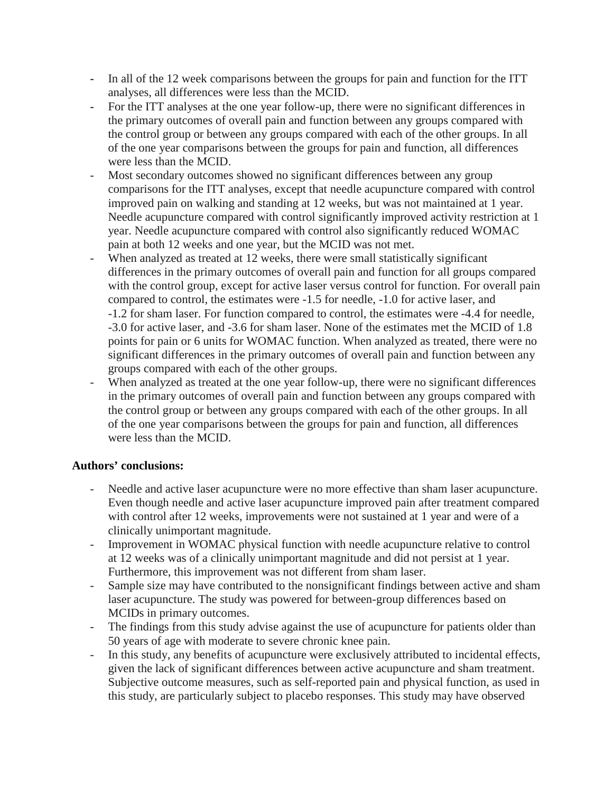- In all of the 12 week comparisons between the groups for pain and function for the ITT analyses, all differences were less than the MCID.
- For the ITT analyses at the one year follow-up, there were no significant differences in the primary outcomes of overall pain and function between any groups compared with the control group or between any groups compared with each of the other groups. In all of the one year comparisons between the groups for pain and function, all differences were less than the MCID.
- Most secondary outcomes showed no significant differences between any group comparisons for the ITT analyses, except that needle acupuncture compared with control improved pain on walking and standing at 12 weeks, but was not maintained at 1 year. Needle acupuncture compared with control significantly improved activity restriction at 1 year. Needle acupuncture compared with control also significantly reduced WOMAC pain at both 12 weeks and one year, but the MCID was not met.
- When analyzed as treated at 12 weeks, there were small statistically significant differences in the primary outcomes of overall pain and function for all groups compared with the control group, except for active laser versus control for function. For overall pain compared to control, the estimates were -1.5 for needle, -1.0 for active laser, and -1.2 for sham laser. For function compared to control, the estimates were -4.4 for needle, -3.0 for active laser, and -3.6 for sham laser. None of the estimates met the MCID of 1.8 points for pain or 6 units for WOMAC function. When analyzed as treated, there were no significant differences in the primary outcomes of overall pain and function between any groups compared with each of the other groups.
- When analyzed as treated at the one year follow-up, there were no significant differences in the primary outcomes of overall pain and function between any groups compared with the control group or between any groups compared with each of the other groups. In all of the one year comparisons between the groups for pain and function, all differences were less than the MCID.

# **Authors' conclusions:**

- Needle and active laser acupuncture were no more effective than sham laser acupuncture. Even though needle and active laser acupuncture improved pain after treatment compared with control after 12 weeks, improvements were not sustained at 1 year and were of a clinically unimportant magnitude.
- Improvement in WOMAC physical function with needle acupuncture relative to control at 12 weeks was of a clinically unimportant magnitude and did not persist at 1 year. Furthermore, this improvement was not different from sham laser.
- Sample size may have contributed to the nonsignificant findings between active and sham laser acupuncture. The study was powered for between-group differences based on MCIDs in primary outcomes.
- The findings from this study advise against the use of acupuncture for patients older than 50 years of age with moderate to severe chronic knee pain.
- In this study, any benefits of acupuncture were exclusively attributed to incidental effects, given the lack of significant differences between active acupuncture and sham treatment. Subjective outcome measures, such as self-reported pain and physical function, as used in this study, are particularly subject to placebo responses. This study may have observed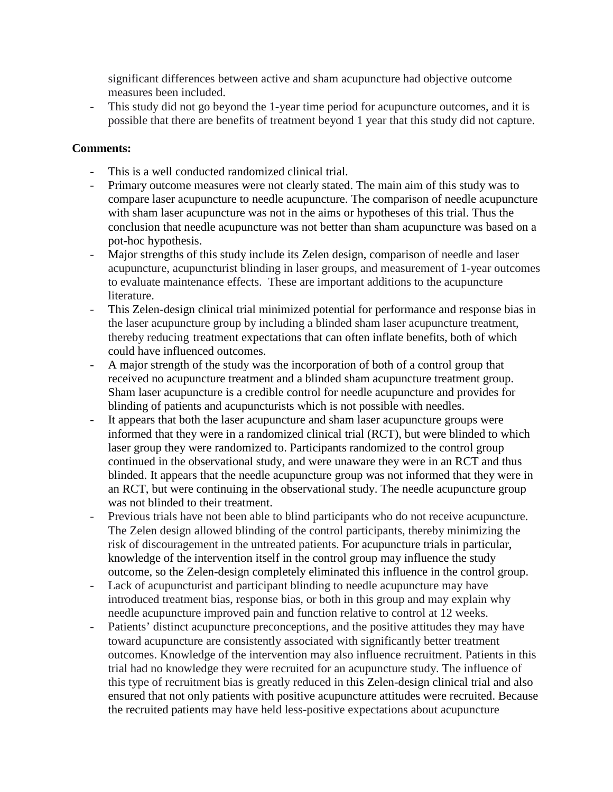significant differences between active and sham acupuncture had objective outcome measures been included.

- This study did not go beyond the 1-year time period for acupuncture outcomes, and it is possible that there are benefits of treatment beyond 1 year that this study did not capture.

# **Comments:**

- This is a well conducted randomized clinical trial.
- Primary outcome measures were not clearly stated. The main aim of this study was to compare laser acupuncture to needle acupuncture. The comparison of needle acupuncture with sham laser acupuncture was not in the aims or hypotheses of this trial. Thus the conclusion that needle acupuncture was not better than sham acupuncture was based on a pot-hoc hypothesis.
- Major strengths of this study include its Zelen design, comparison of needle and laser acupuncture, acupuncturist blinding in laser groups, and measurement of 1-year outcomes to evaluate maintenance effects. These are important additions to the acupuncture literature.
- This Zelen-design clinical trial minimized potential for performance and response bias in the laser acupuncture group by including a blinded sham laser acupuncture treatment, thereby reducing treatment expectations that can often inflate benefits, both of which could have influenced outcomes.
- A major strength of the study was the incorporation of both of a control group that received no acupuncture treatment and a blinded sham acupuncture treatment group. Sham laser acupuncture is a credible control for needle acupuncture and provides for blinding of patients and acupuncturists which is not possible with needles.
- It appears that both the laser acupuncture and sham laser acupuncture groups were informed that they were in a randomized clinical trial (RCT), but were blinded to which laser group they were randomized to. Participants randomized to the control group continued in the observational study, and were unaware they were in an RCT and thus blinded. It appears that the needle acupuncture group was not informed that they were in an RCT, but were continuing in the observational study. The needle acupuncture group was not blinded to their treatment.
- Previous trials have not been able to blind participants who do not receive acupuncture. The Zelen design allowed blinding of the control participants, thereby minimizing the risk of discouragement in the untreated patients. For acupuncture trials in particular, knowledge of the intervention itself in the control group may influence the study outcome, so the Zelen-design completely eliminated this influence in the control group.
- Lack of acupuncturist and participant blinding to needle acupuncture may have introduced treatment bias, response bias, or both in this group and may explain why needle acupuncture improved pain and function relative to control at 12 weeks.
- Patients' distinct acupuncture preconceptions, and the positive attitudes they may have toward acupuncture are consistently associated with significantly better treatment outcomes. Knowledge of the intervention may also influence recruitment. Patients in this trial had no knowledge they were recruited for an acupuncture study. The influence of this type of recruitment bias is greatly reduced in this Zelen-design clinical trial and also ensured that not only patients with positive acupuncture attitudes were recruited. Because the recruited patients may have held less-positive expectations about acupuncture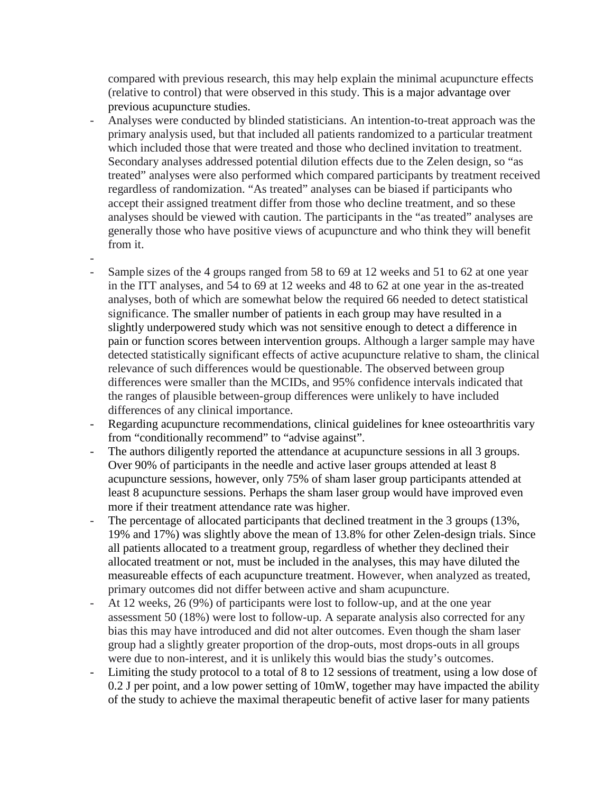compared with previous research, this may help explain the minimal acupuncture effects (relative to control) that were observed in this study. This is a major advantage over previous acupuncture studies.

- Analyses were conducted by blinded statisticians. An intention-to-treat approach was the primary analysis used, but that included all patients randomized to a particular treatment which included those that were treated and those who declined invitation to treatment. Secondary analyses addressed potential dilution effects due to the Zelen design, so "as treated" analyses were also performed which compared participants by treatment received regardless of randomization. "As treated" analyses can be biased if participants who accept their assigned treatment differ from those who decline treatment, and so these analyses should be viewed with caution. The participants in the "as treated" analyses are generally those who have positive views of acupuncture and who think they will benefit from it.
- Sample sizes of the 4 groups ranged from 58 to 69 at 12 weeks and 51 to 62 at one year in the ITT analyses, and 54 to 69 at 12 weeks and 48 to 62 at one year in the as-treated analyses, both of which are somewhat below the required 66 needed to detect statistical significance. The smaller number of patients in each group may have resulted in a slightly underpowered study which was not sensitive enough to detect a difference in pain or function scores between intervention groups. Although a larger sample may have detected statistically significant effects of active acupuncture relative to sham, the clinical relevance of such differences would be questionable. The observed between group differences were smaller than the MCIDs, and 95% confidence intervals indicated that the ranges of plausible between-group differences were unlikely to have included differences of any clinical importance.
- Regarding acupuncture recommendations, clinical guidelines for knee osteoarthritis vary from "conditionally recommend" to "advise against".
- The authors diligently reported the attendance at acupuncture sessions in all 3 groups. Over 90% of participants in the needle and active laser groups attended at least 8 acupuncture sessions, however, only 75% of sham laser group participants attended at least 8 acupuncture sessions. Perhaps the sham laser group would have improved even more if their treatment attendance rate was higher.
- The percentage of allocated participants that declined treatment in the 3 groups (13%, 19% and 17%) was slightly above the mean of 13.8% for other Zelen-design trials. Since all patients allocated to a treatment group, regardless of whether they declined their allocated treatment or not, must be included in the analyses, this may have diluted the measureable effects of each acupuncture treatment. However, when analyzed as treated, primary outcomes did not differ between active and sham acupuncture.
- At 12 weeks, 26 (9%) of participants were lost to follow-up, and at the one year assessment 50 (18%) were lost to follow-up. A separate analysis also corrected for any bias this may have introduced and did not alter outcomes. Even though the sham laser group had a slightly greater proportion of the drop-outs, most drops-outs in all groups were due to non-interest, and it is unlikely this would bias the study's outcomes.
- Limiting the study protocol to a total of 8 to 12 sessions of treatment, using a low dose of 0.2 J per point, and a low power setting of 10mW, together may have impacted the ability of the study to achieve the maximal therapeutic benefit of active laser for many patients